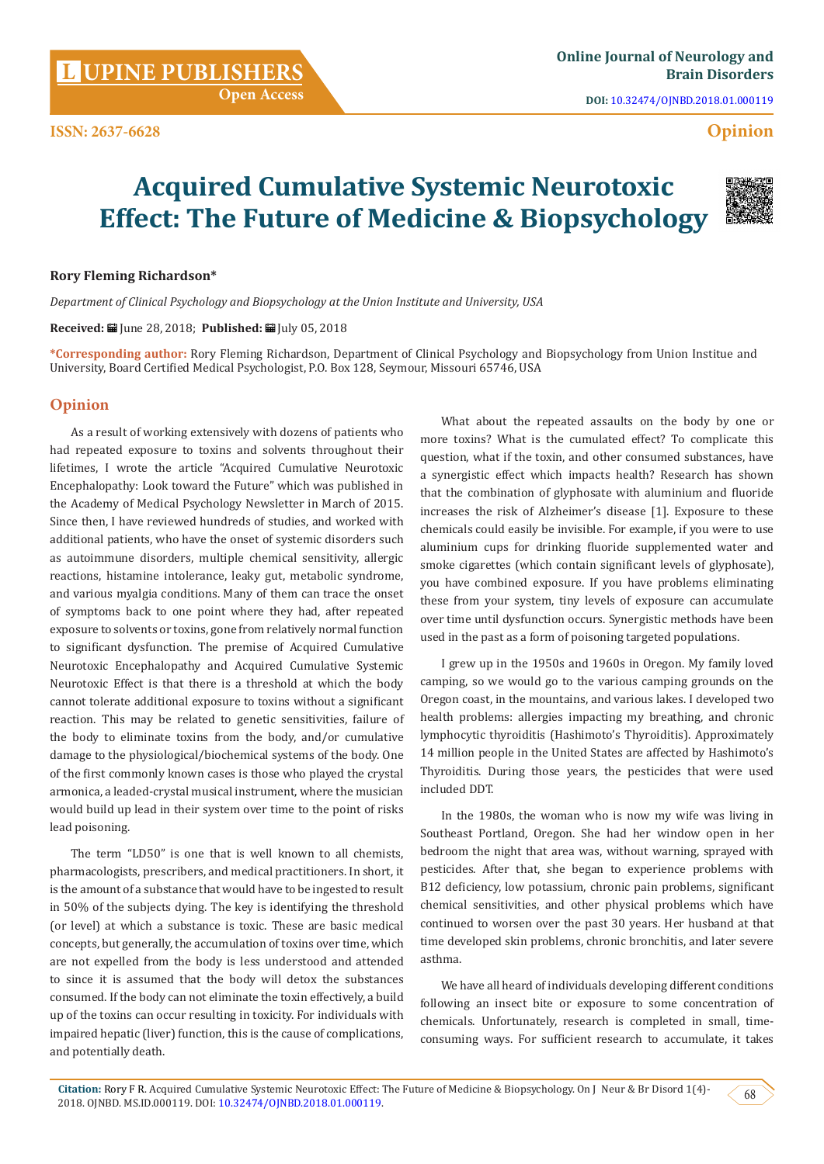**Open Access**

**DOI:** [10.32474/OJNBD.2018.01.000119](http://dx.doi.org/10.32474/OJNBD.2018.01.000119)

# **Opinion**

# **Acquired Cumulative Systemic Neurotoxic Effect: The Future of Medicine & Biopsychology**



### **Rory Fleming Richardson\***

*Department of Clinical Psychology and Biopsychology at the Union Institute and University, USA*

**Received:** June 28, 2018; **Published:** July 05, 2018

**\*Corresponding author:** Rory Fleming Richardson, Department of Clinical Psychology and Biopsychology from Union Institue and University, Board Certified Medical Psychologist, P.O. Box 128, Seymour, Missouri 65746, USA

# **Opinion**

As a result of working extensively with dozens of patients who had repeated exposure to toxins and solvents throughout their lifetimes, I wrote the article "Acquired Cumulative Neurotoxic Encephalopathy: Look toward the Future" which was published in the Academy of Medical Psychology Newsletter in March of 2015. Since then, I have reviewed hundreds of studies, and worked with additional patients, who have the onset of systemic disorders such as autoimmune disorders, multiple chemical sensitivity, allergic reactions, histamine intolerance, leaky gut, metabolic syndrome, and various myalgia conditions. Many of them can trace the onset of symptoms back to one point where they had, after repeated exposure to solvents or toxins, gone from relatively normal function to significant dysfunction. The premise of Acquired Cumulative Neurotoxic Encephalopathy and Acquired Cumulative Systemic Neurotoxic Effect is that there is a threshold at which the body cannot tolerate additional exposure to toxins without a significant reaction. This may be related to genetic sensitivities, failure of the body to eliminate toxins from the body, and/or cumulative damage to the physiological/biochemical systems of the body. One of the first commonly known cases is those who played the crystal armonica, a leaded-crystal musical instrument, where the musician would build up lead in their system over time to the point of risks lead poisoning.

The term "LD50" is one that is well known to all chemists, pharmacologists, prescribers, and medical practitioners. In short, it is the amount of a substance that would have to be ingested to result in 50% of the subjects dying. The key is identifying the threshold (or level) at which a substance is toxic. These are basic medical concepts, but generally, the accumulation of toxins over time, which are not expelled from the body is less understood and attended to since it is assumed that the body will detox the substances consumed. If the body can not eliminate the toxin effectively, a build up of the toxins can occur resulting in toxicity. For individuals with impaired hepatic (liver) function, this is the cause of complications, and potentially death.

What about the repeated assaults on the body by one or more toxins? What is the cumulated effect? To complicate this question, what if the toxin, and other consumed substances, have a synergistic effect which impacts health? Research has shown that the combination of glyphosate with aluminium and fluoride increases the risk of Alzheimer's disease [1]. Exposure to these chemicals could easily be invisible. For example, if you were to use aluminium cups for drinking fluoride supplemented water and smoke cigarettes (which contain significant levels of glyphosate), you have combined exposure. If you have problems eliminating these from your system, tiny levels of exposure can accumulate over time until dysfunction occurs. Synergistic methods have been used in the past as a form of poisoning targeted populations.

I grew up in the 1950s and 1960s in Oregon. My family loved camping, so we would go to the various camping grounds on the Oregon coast, in the mountains, and various lakes. I developed two health problems: allergies impacting my breathing, and chronic lymphocytic thyroiditis (Hashimoto's Thyroiditis). Approximately 14 million people in the United States are affected by Hashimoto's Thyroiditis. During those years, the pesticides that were used included DDT.

In the 1980s, the woman who is now my wife was living in Southeast Portland, Oregon. She had her window open in her bedroom the night that area was, without warning, sprayed with pesticides. After that, she began to experience problems with B12 deficiency, low potassium, chronic pain problems, significant chemical sensitivities, and other physical problems which have continued to worsen over the past 30 years. Her husband at that time developed skin problems, chronic bronchitis, and later severe asthma.

We have all heard of individuals developing different conditions following an insect bite or exposure to some concentration of chemicals. Unfortunately, research is completed in small, timeconsuming ways. For sufficient research to accumulate, it takes